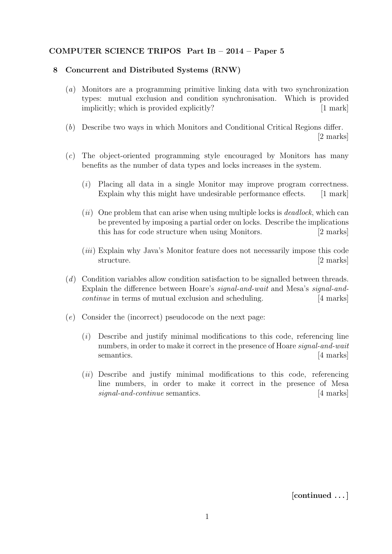## COMPUTER SCIENCE TRIPOS Part IB – 2014 – Paper 5

## 8 Concurrent and Distributed Systems (RNW)

- (a) Monitors are a programming primitive linking data with two synchronization types: mutual exclusion and condition synchronisation. Which is provided implicitly; which is provided explicitly? [1 mark]
- (b) Describe two ways in which Monitors and Conditional Critical Regions differ. [2 marks]
- (c) The object-oriented programming style encouraged by Monitors has many benefits as the number of data types and locks increases in the system.
	- (i) Placing all data in a single Monitor may improve program correctness. Explain why this might have undesirable performance effects. [1 mark]
	- $(ii)$  One problem that can arise when using multiple locks is *deadlock*, which can be prevented by imposing a partial order on locks. Describe the implications this has for code structure when using Monitors. [2 marks]
	- (iii) Explain why Java's Monitor feature does not necessarily impose this code structure. [2 marks]
- (d) Condition variables allow condition satisfaction to be signalled between threads. Explain the difference between Hoare's signal-and-wait and Mesa's signal-andcontinue in terms of mutual exclusion and scheduling. [4 marks]
- (e) Consider the (incorrect) pseudocode on the next page:
	- (i) Describe and justify minimal modifications to this code, referencing line numbers, in order to make it correct in the presence of Hoare signal-and-wait semantics. [4 marks]
	- $(ii)$  Describe and justify minimal modifications to this code, referencing line numbers, in order to make it correct in the presence of Mesa signal-and-continue semantics. [4 marks]

[continued . . . ]